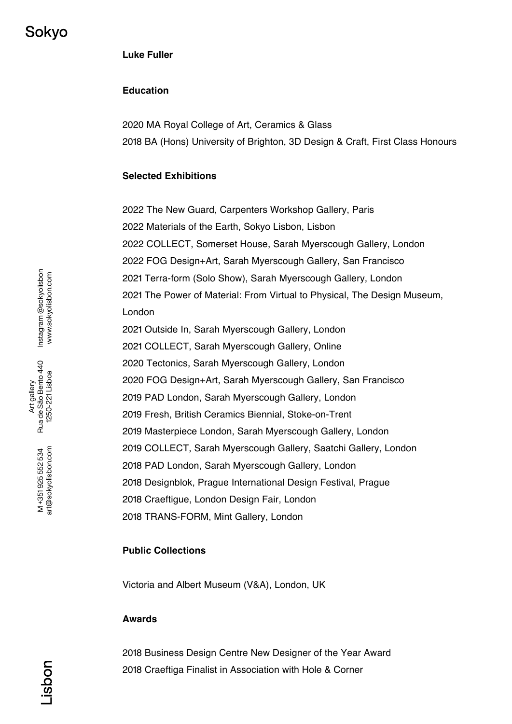## **Education**

2020 MA Royal College of Art, Ceramics & Glass 2018 BA (Hons) University of Brighton, 3D Design & Craft, First Class Honours

### **Selected Exhibitions**

 The New Guard, Carpenters Workshop Gallery, Paris Materials of the Earth, Sokyo Lisbon, Lisbon COLLECT, Somerset House, Sarah Myerscough Gallery, London FOG Design+Art, Sarah Myerscough Gallery, San Francisco Terra-form (Solo Show), Sarah Myerscough Gallery, London The Power of Material: From Virtual to Physical, The Design Museum, London Outside In, Sarah Myerscough Gallery, London COLLECT, Sarah Myerscough Gallery, Online Tectonics, Sarah Myerscough Gallery, London FOG Design+Art, Sarah Myerscough Gallery, San Francisco PAD London, Sarah Myerscough Gallery, London Fresh, British Ceramics Biennial, Stoke-on-Trent Masterpiece London, Sarah Myerscough Gallery, London COLLECT, Sarah Myerscough Gallery, Saatchi Gallery, London PAD London, Sarah Myerscough Gallery, London Designblok, Prague International Design Festival, Prague Craeftigue, London Design Fair, London TRANS-FORM, Mint Gallery, London

#### **Public Collections**

Victoria and Albert Museum (V&A), London, UK

#### **Awards**

2018 Business Design Centre New Designer of the Year Award 2018 Craeftiga Finalist in Association with Hole & Corner

noqsi